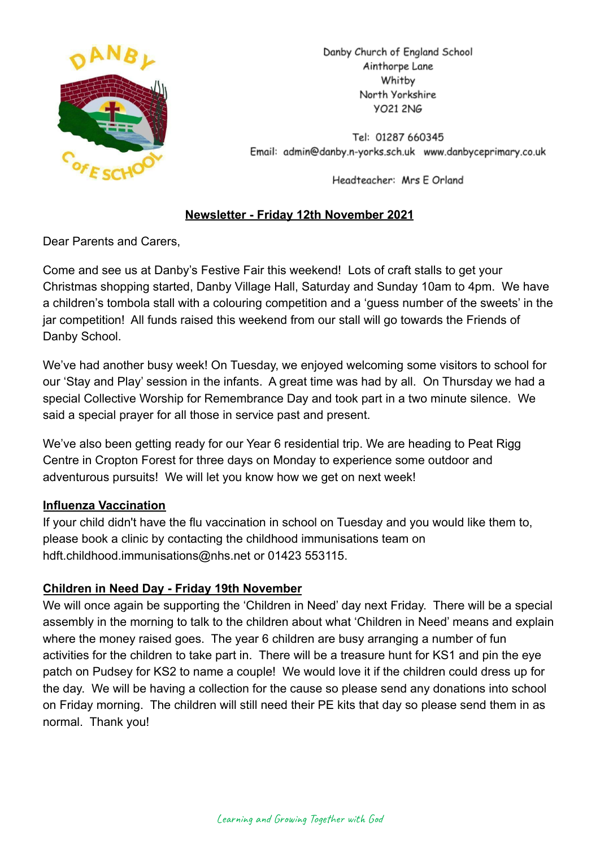

Danby Church of England School Ainthorpe Lane Whitby North Yorkshire **YO21 2NG** 

Tel: 01287 660345 Email: admin@danby.n-yorks.sch.uk www.danbyceprimary.co.uk

Headteacher: Mrs E Orland

# **Newsletter - Friday 12th November 2021**

Dear Parents and Carers,

Come and see us at Danby's Festive Fair this weekend! Lots of craft stalls to get your Christmas shopping started, Danby Village Hall, Saturday and Sunday 10am to 4pm. We have a children's tombola stall with a colouring competition and a 'guess number of the sweets' in the jar competition! All funds raised this weekend from our stall will go towards the Friends of Danby School.

We've had another busy week! On Tuesday, we enjoyed welcoming some visitors to school for our 'Stay and Play' session in the infants. A great time was had by all. On Thursday we had a special Collective Worship for Remembrance Day and took part in a two minute silence. We said a special prayer for all those in service past and present.

We've also been getting ready for our Year 6 residential trip. We are heading to Peat Rigg Centre in Cropton Forest for three days on Monday to experience some outdoor and adventurous pursuits! We will let you know how we get on next week!

## **Influenza Vaccination**

If your child didn't have the flu vaccination in school on Tuesday and you would like them to, please book a clinic by contacting the childhood immunisations team on hdft.childhood.immunisations@nhs.net or 01423 553115.

## **Children in Need Day - Friday 19th November**

We will once again be supporting the 'Children in Need' day next Friday. There will be a special assembly in the morning to talk to the children about what 'Children in Need' means and explain where the money raised goes. The year 6 children are busy arranging a number of fun activities for the children to take part in. There will be a treasure hunt for KS1 and pin the eye patch on Pudsey for KS2 to name a couple! We would love it if the children could dress up for the day. We will be having a collection for the cause so please send any donations into school on Friday morning. The children will still need their PE kits that day so please send them in as normal. Thank you!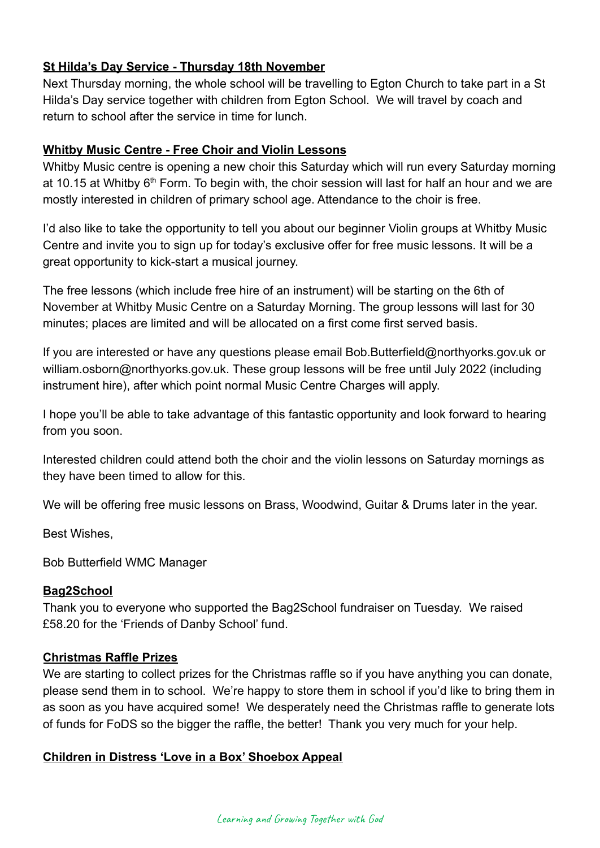## **St Hilda's Day Service - Thursday 18th November**

Next Thursday morning, the whole school will be travelling to Egton Church to take part in a St Hilda's Day service together with children from Egton School. We will travel by coach and return to school after the service in time for lunch.

## **Whitby Music Centre - Free Choir and Violin Lessons**

Whitby Music centre is opening a new choir this Saturday which will run every Saturday morning at 10.15 at Whitby  $6<sup>th</sup>$  Form. To begin with, the choir session will last for half an hour and we are mostly interested in children of primary school age. Attendance to the choir is free.

I'd also like to take the opportunity to tell you about our beginner Violin groups at Whitby Music Centre and invite you to sign up for today's exclusive offer for free music lessons. It will be a great opportunity to kick-start a musical journey.

The free lessons (which include free hire of an instrument) will be starting on the 6th of November at Whitby Music Centre on a Saturday Morning. The group lessons will last for 30 minutes; places are limited and will be allocated on a first come first served basis.

If you are interested or have any questions please email Bob.Butterfield@northyorks.gov.uk or william.osborn@northyorks.gov.uk. These group lessons will be free until July 2022 (including instrument hire), after which point normal Music Centre Charges will apply.

I hope you'll be able to take advantage of this fantastic opportunity and look forward to hearing from you soon.

Interested children could attend both the choir and the violin lessons on Saturday mornings as they have been timed to allow for this.

We will be offering free music lessons on Brass, Woodwind, Guitar & Drums later in the year.

Best Wishes,

Bob Butterfield WMC Manager

## **Bag2School**

Thank you to everyone who supported the Bag2School fundraiser on Tuesday. We raised £58.20 for the 'Friends of Danby School' fund.

#### **Christmas Raffle Prizes**

We are starting to collect prizes for the Christmas raffle so if you have anything you can donate, please send them in to school. We're happy to store them in school if you'd like to bring them in as soon as you have acquired some! We desperately need the Christmas raffle to generate lots of funds for FoDS so the bigger the raffle, the better! Thank you very much for your help.

## **Children in Distress 'Love in a Box' Shoebox Appeal**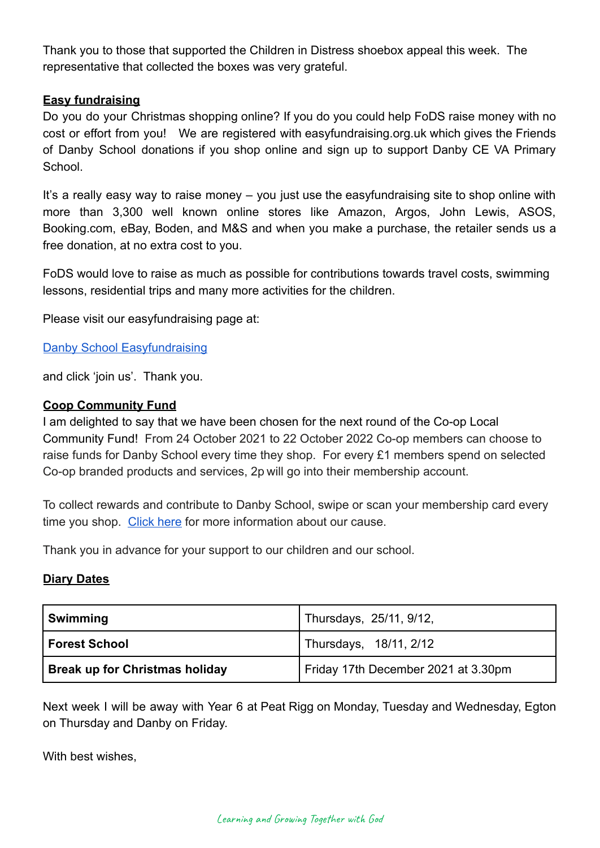Thank you to those that supported the Children in Distress shoebox appeal this week. The representative that collected the boxes was very grateful.

### **Easy fundraising**

Do you do your Christmas shopping online? If you do you could help FoDS raise money with no cost or effort from you! We are registered with easyfundraising.org.uk which gives the Friends of Danby School donations if you shop online and sign up to support Danby CE VA Primary School.

It's a really easy way to raise money – you just use the easyfundraising site to shop online with more than 3,300 well known online stores like Amazon, Argos, John Lewis, ASOS, Booking.com, eBay, Boden, and M&S and when you make a purchase, the retailer sends us a free donation, at no extra cost to you.

FoDS would love to raise as much as possible for contributions towards travel costs, swimming lessons, residential trips and many more activities for the children.

Please visit our easyfundraising page at:

#### [Danby School Easyfundraising](https://www.easyfundraising.org.uk/causes/danbysch/?q=Danby%20School&cat=cause-autosuggest)

and click 'join us'. Thank you.

#### **Coop Community Fund**

I am delighted to say that we have been chosen for the next round of the Co-op Local Community Fund! From 24 October 2021 to 22 October 2022 Co-op members can choose to raise funds for Danby School every time they shop. For every £1 members spend on selected Co-op branded products and services, 2p will go into their membership account.

To collect rewards and contribute to Danby School, swipe or scan your membership card every time you shop. [Click here](https://co-operate.coop.co.uk/groups/danby-church-of-england-primary-school/) for more information about our cause.

Thank you in advance for your support to our children and our school.

#### **Diary Dates**

| Swimming                              | Thursdays, 25/11, 9/12,             |
|---------------------------------------|-------------------------------------|
| l Forest School                       | Thursdays, 18/11, 2/12              |
| <b>Break up for Christmas holiday</b> | Friday 17th December 2021 at 3.30pm |

Next week I will be away with Year 6 at Peat Rigg on Monday, Tuesday and Wednesday, Egton on Thursday and Danby on Friday.

With best wishes,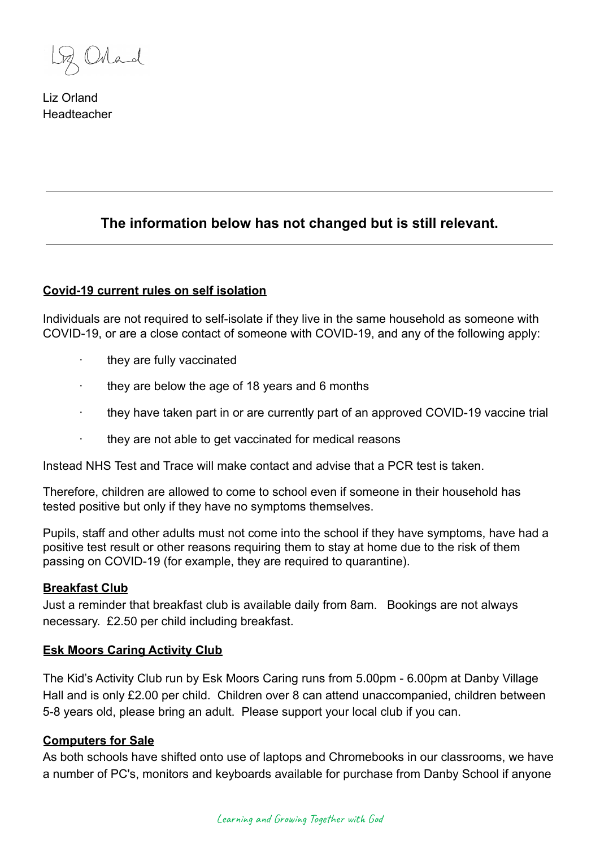Mad

Liz Orland **Headteacher** 

# **The information below has not changed but is still relevant.**

#### **Covid-19 current rules on self isolation**

Individuals are not required to self-isolate if they live in the same household as someone with COVID-19, or are a close contact of someone with COVID-19, and any of the following apply:

- they are fully vaccinated
- · they are below the age of 18 years and 6 months
- · they have taken part in or are currently part of an approved COVID-19 vaccine trial
- · they are not able to get vaccinated for medical reasons

Instead NHS Test and Trace will make contact and advise that a PCR test is taken.

Therefore, children are allowed to come to school even if someone in their household has tested positive but only if they have no symptoms themselves.

Pupils, staff and other adults must not come into the school if they have symptoms, have had a positive test result or other reasons requiring them to stay at home due to the risk of them passing on COVID-19 (for example, they are required to quarantine).

#### **Breakfast Club**

Just a reminder that breakfast club is available daily from 8am. Bookings are not always necessary. £2.50 per child including breakfast.

#### **Esk Moors Caring Activity Club**

The Kid's Activity Club run by Esk Moors Caring runs from 5.00pm - 6.00pm at Danby Village Hall and is only £2.00 per child. Children over 8 can attend unaccompanied, children between 5-8 years old, please bring an adult. Please support your local club if you can.

#### **Computers for Sale**

As both schools have shifted onto use of laptops and Chromebooks in our classrooms, we have a number of PC's, monitors and keyboards available for purchase from Danby School if anyone